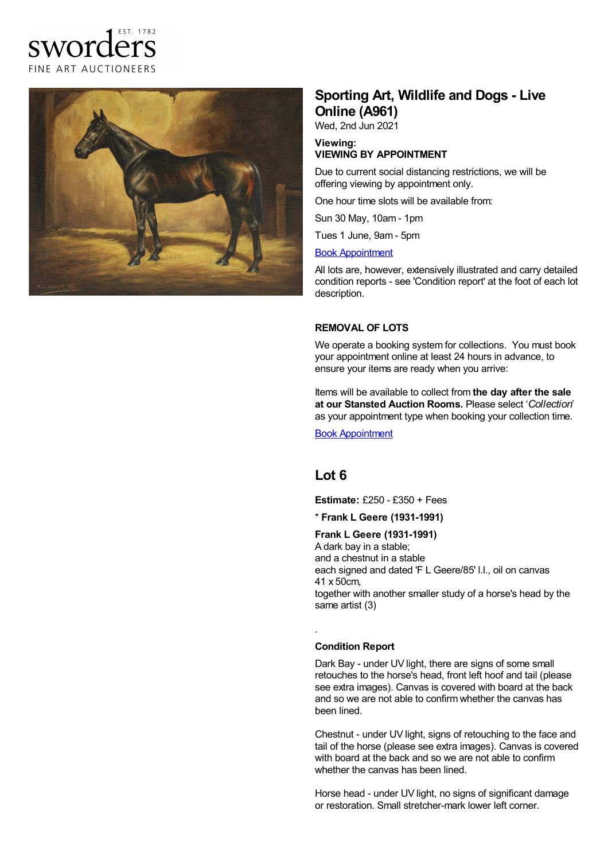



# **Sporting Art, Wildlife and Dogs - Live Online (A961)**

Wed, 2nd Jun 2021

#### **Viewing: VIEWING BY APPOINTMENT**

Due to current social distancing restrictions, we will be offering viewing by appointment only.

One hour time slots will be available from:

Sun 30 May, 10am - 1pm

Tues 1 June, 9am - 5pm

#### Book [Appointment](https://www.sworder.co.uk/appointments/)

All lots are, however, extensively illustrated and carry detailed condition reports - see 'Condition report' at the foot of each lot description.

#### **REMOVAL OF LOTS**

We operate a booking system for collections. You must book your appointment online at least 24 hours in advance, to ensure your items are ready when you arrive:

Items will be available to collect from **the day after the sale at our Stansted Auction Rooms.** Please select '*Collection*' as your appointment type when booking your collection time.

Book [Appointment](https://www.sworder.co.uk/appointments/)

## **Lot 6**

**Estimate:** £250 - £350 + Fees

\* **Frank L Geere (1931-1991)**

### **Frank L Geere (1931-1991)**

A dark bay in a stable; and a chestnut in a stable each signed and dated 'F L Geere/85' l.l., oil on canvas 41 x 50cm, together with another smaller study of a horse's head by the same artist (3)

#### **Condition Report**

.

Dark Bay - under UV light, there are signs of some small retouches to the horse's head, front left hoof and tail (please see extra images). Canvas is covered with board at the back and so we are not able to confirm whether the canvas has been lined.

Chestnut - under UV light, signs of retouching to the face and tail of the horse (please see extra images). Canvas is covered with board at the back and so we are not able to confirm whether the canvas has been lined.

Horse head - under UV light, no signs of significant damage or restoration. Small stretcher-mark lower left corner.